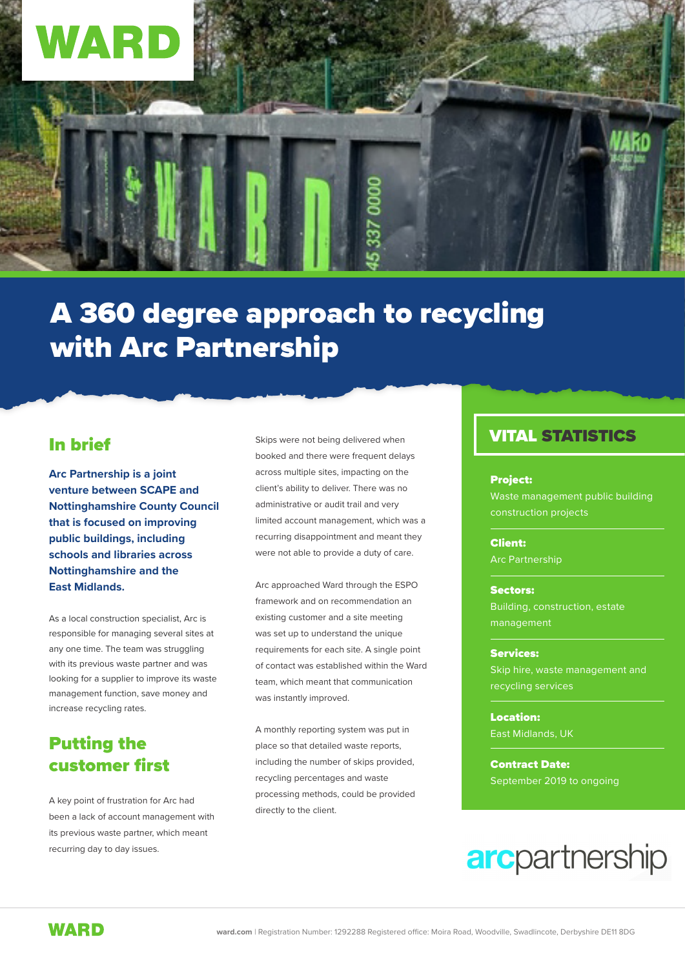

## A 360 degree approach to recycling with Arc Partnership

### In brief

**Arc Partnership is a joint venture between SCAPE and Nottinghamshire County Council that is focused on improving public buildings, including schools and libraries across Nottinghamshire and the East Midlands.** 

As a local construction specialist, Arc is responsible for managing several sites at any one time. The team was struggling with its previous waste partner and was looking for a supplier to improve its waste management function, save money and increase recycling rates.

## Putting the customer first

A key point of frustration for Arc had been a lack of account management with its previous waste partner, which meant recurring day to day issues.

Skips were not being delivered when booked and there were frequent delays across multiple sites, impacting on the client's ability to deliver. There was no administrative or audit trail and very limited account management, which was a recurring disappointment and meant they were not able to provide a duty of care.

Arc approached Ward through the ESPO framework and on recommendation an existing customer and a site meeting was set up to understand the unique requirements for each site. A single point of contact was established within the Ward team, which meant that communication was instantly improved.

A monthly reporting system was put in place so that detailed waste reports, including the number of skips provided, recycling percentages and waste processing methods, could be provided directly to the client.

### VITAL STATISTICS

### Project:

Waste management public building construction projects

Client: Arc Partnership

#### Sectors:

Building, construction, estate management

### Services:

Skip hire, waste management and recycling services

Location: East Midlands, UK

Contract Date: September 2019 to ongoing

## **arc**partnership